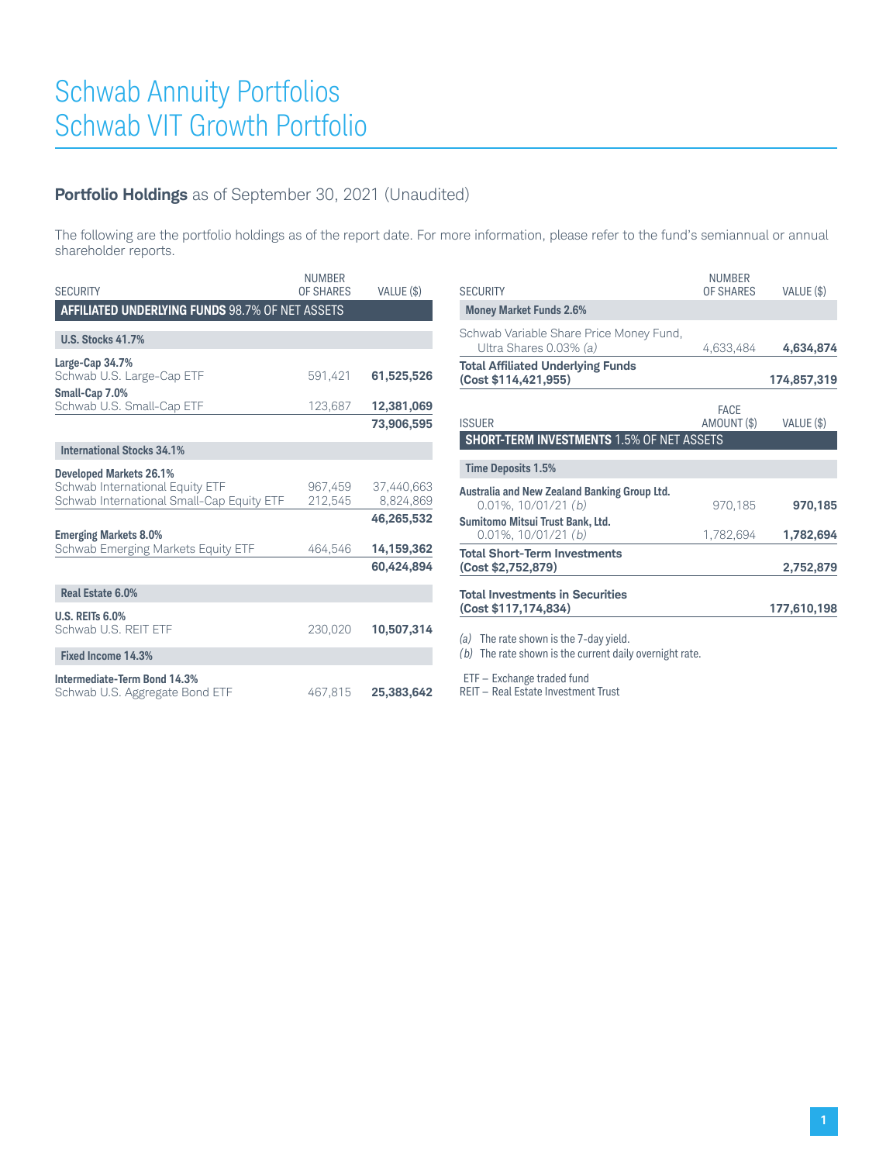#### **Portfolio Holdings** as of September 30, 2021 (Unaudited)

The following are the portfolio holdings as of the report date. For more information, please refer to the fund's semiannual or annual shareholder reports.

| <b>SECURITY</b>                                                                                                | <b>NUMBER</b><br>OF SHARES | VALUE (\$)               |
|----------------------------------------------------------------------------------------------------------------|----------------------------|--------------------------|
| <b>AFFILIATED UNDERLYING FUNDS 98.7% OF NET ASSETS</b>                                                         |                            |                          |
| <b>U.S. Stocks 41.7%</b>                                                                                       |                            |                          |
| Large-Cap 34.7%<br>Schwab U.S. Large-Cap ETF                                                                   | 591,421                    | 61,525,526               |
| Small-Cap 7.0%<br>Schwab U.S. Small-Cap ETF                                                                    | 123,687                    | 12,381,069               |
|                                                                                                                |                            | 73,906,595               |
| <b>International Stocks 34.1%</b>                                                                              |                            |                          |
| <b>Developed Markets 26.1%</b><br>Schwab International Equity ETF<br>Schwab International Small-Cap Equity ETF | 967.459<br>212,545         | 37.440.663<br>8,824,869  |
| <b>Emerging Markets 8.0%</b><br>Schwab Emerging Markets Equity ETF                                             | 464,546                    | 46,265,532<br>14,159,362 |
|                                                                                                                |                            | 60,424,894               |
| Real Estate 6.0%                                                                                               |                            |                          |
| <b>U.S. REITs 6.0%</b><br>Schwab U.S. REIT ETF                                                                 | 230,020                    | 10,507,314               |
| Fixed Income 14.3%                                                                                             |                            |                          |
| Intermediate-Term Bond 14.3%<br>Schwab U.S. Aggregate Bond ETF                                                 | 467,815                    | 25,383,642               |

|                                                                           | <b>NUMBER</b>              |             |
|---------------------------------------------------------------------------|----------------------------|-------------|
| <b>SECURITY</b>                                                           | OF SHARES                  | VALUE (\$)  |
| <b>Money Market Funds 2.6%</b>                                            |                            |             |
| Schwab Variable Share Price Money Fund,<br>Ultra Shares 0.03% (a)         | 4,633,484                  | 4,634,874   |
| <b>Total Affiliated Underlying Funds</b><br>(Cost \$114,421,955)          |                            | 174,857,319 |
| <b>ISSUER</b>                                                             | <b>FACE</b><br>AMOUNT (\$) | VALUE (\$)  |
| <b>SHORT-TERM INVESTMENTS 1.5% OF NET ASSETS</b>                          |                            |             |
| <b>Time Deposits 1.5%</b>                                                 |                            |             |
| Australia and New Zealand Banking Group Ltd.<br>$0.01\%$ , $10/01/21$ (b) | 970,185                    | 970,185     |
| Sumitomo Mitsui Trust Bank, Ltd.<br>$0.01\%$ , $10/01/21$ (b)             | 1,782,694                  | 1,782,694   |
| <b>Total Short-Term Investments</b><br>(Cost \$2,752,879)                 |                            | 2,752,879   |
| <b>Total Investments in Securities</b><br>(Cost \$117,174,834)            |                            | 177,610,198 |
| イント・エレンジ フォーム しょうこうせい しょうせい こうせいしょう                                       |                            |             |

*(a)* The rate shown is the 7-day yield.

*(b)* The rate shown is the current daily overnight rate.

ETF — Exchange traded fund

REIT — Real Estate Investment Trust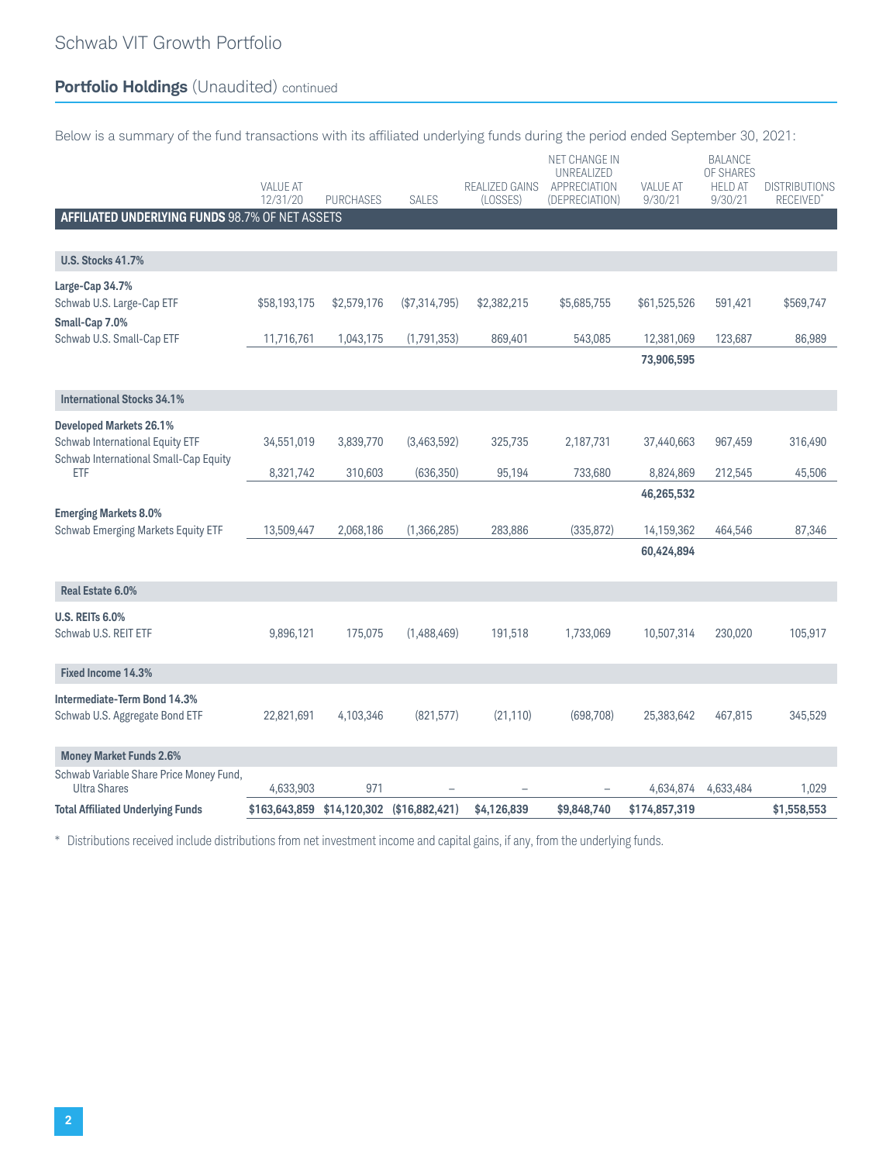# **Portfolio Holdings** (Unaudited) continued

Below is a summary of the fund transactions with its affiliated underlying funds during the period ended September 30, 2021:

|                                                                           | <b>VALUE AT</b><br>12/31/20 | <b>PURCHASES</b> | <b>SALES</b>   | REALIZED GAINS<br>(LOSSES) | NET CHANGE IN<br>UNREALIZED<br>APPRECIATION<br>(DEPRECIATION) | <b>VALUE AT</b><br>9/30/21             | <b>BALANCE</b><br>OF SHARES<br><b>HELD AT</b><br>9/30/21 | <b>DISTRIBUTIONS</b><br><b>RECEIVED</b> |
|---------------------------------------------------------------------------|-----------------------------|------------------|----------------|----------------------------|---------------------------------------------------------------|----------------------------------------|----------------------------------------------------------|-----------------------------------------|
| AFFILIATED UNDERLYING FUNDS 98.7% OF NET ASSETS                           |                             |                  |                |                            |                                                               |                                        |                                                          |                                         |
| <b>U.S. Stocks 41.7%</b>                                                  |                             |                  |                |                            |                                                               |                                        |                                                          |                                         |
| Large-Cap 34.7%<br>Schwab U.S. Large-Cap ETF<br>Small-Cap 7.0%            | \$58,193,175                | \$2,579,176      | (\$7,314,795)  | \$2,382,215                | \$5,685,755                                                   | \$61,525,526                           | 591,421                                                  | \$569,747                               |
| Schwab U.S. Small-Cap ETF                                                 | 11,716,761                  | 1,043,175        | (1,791,353)    | 869,401                    | 543,085                                                       | 12,381,069                             | 123,687                                                  | 86,989                                  |
|                                                                           |                             |                  |                |                            |                                                               | 73,906,595                             |                                                          |                                         |
| <b>International Stocks 34.1%</b>                                         |                             |                  |                |                            |                                                               |                                        |                                                          |                                         |
| <b>Developed Markets 26.1%</b>                                            |                             |                  |                |                            |                                                               |                                        |                                                          |                                         |
| Schwab International Equity ETF<br>Schwab International Small-Cap Equity  | 34,551,019                  | 3,839,770        | (3,463,592)    | 325,735                    | 2,187,731                                                     | 37,440,663                             | 967,459                                                  | 316,490                                 |
| <b>ETF</b>                                                                | 8,321,742                   | 310,603          | (636, 350)     | 95,194                     | 733,680                                                       | 8,824,869                              | 212,545                                                  | 45,506                                  |
| <b>Emerging Markets 8.0%</b><br><b>Schwab Emerging Markets Equity ETF</b> | 13,509,447                  | 2,068,186        | (1,366,285)    | 283,886                    | (335, 872)                                                    | 46,265,532<br>14,159,362<br>60,424,894 | 464,546                                                  | 87,346                                  |
|                                                                           |                             |                  |                |                            |                                                               |                                        |                                                          |                                         |
| Real Estate 6.0%                                                          |                             |                  |                |                            |                                                               |                                        |                                                          |                                         |
| <b>U.S. REITs 6.0%</b><br>Schwab U.S. REIT ETF                            | 9,896,121                   | 175,075          | (1,488,469)    | 191,518                    | 1,733,069                                                     | 10,507,314                             | 230,020                                                  | 105,917                                 |
| Fixed Income 14.3%                                                        |                             |                  |                |                            |                                                               |                                        |                                                          |                                         |
| Intermediate-Term Bond 14.3%<br>Schwab U.S. Aggregate Bond ETF            | 22,821,691                  | 4,103,346        | (821, 577)     | (21, 110)                  | (698,708)                                                     | 25,383,642                             | 467,815                                                  | 345,529                                 |
| <b>Money Market Funds 2.6%</b>                                            |                             |                  |                |                            |                                                               |                                        |                                                          |                                         |
| Schwab Variable Share Price Money Fund,<br><b>Ultra Shares</b>            | 4,633,903                   | 971              |                |                            |                                                               | 4,634,874                              | 4,633,484                                                | 1,029                                   |
| <b>Total Affiliated Underlying Funds</b>                                  | \$163,643,859               | \$14,120,302     | (\$16,882,421) | \$4,126,839                | \$9,848,740                                                   | \$174,857,319                          |                                                          | \$1,558,553                             |

\* Distributions received include distributions from net investment income and capital gains, if any, from the underlying funds.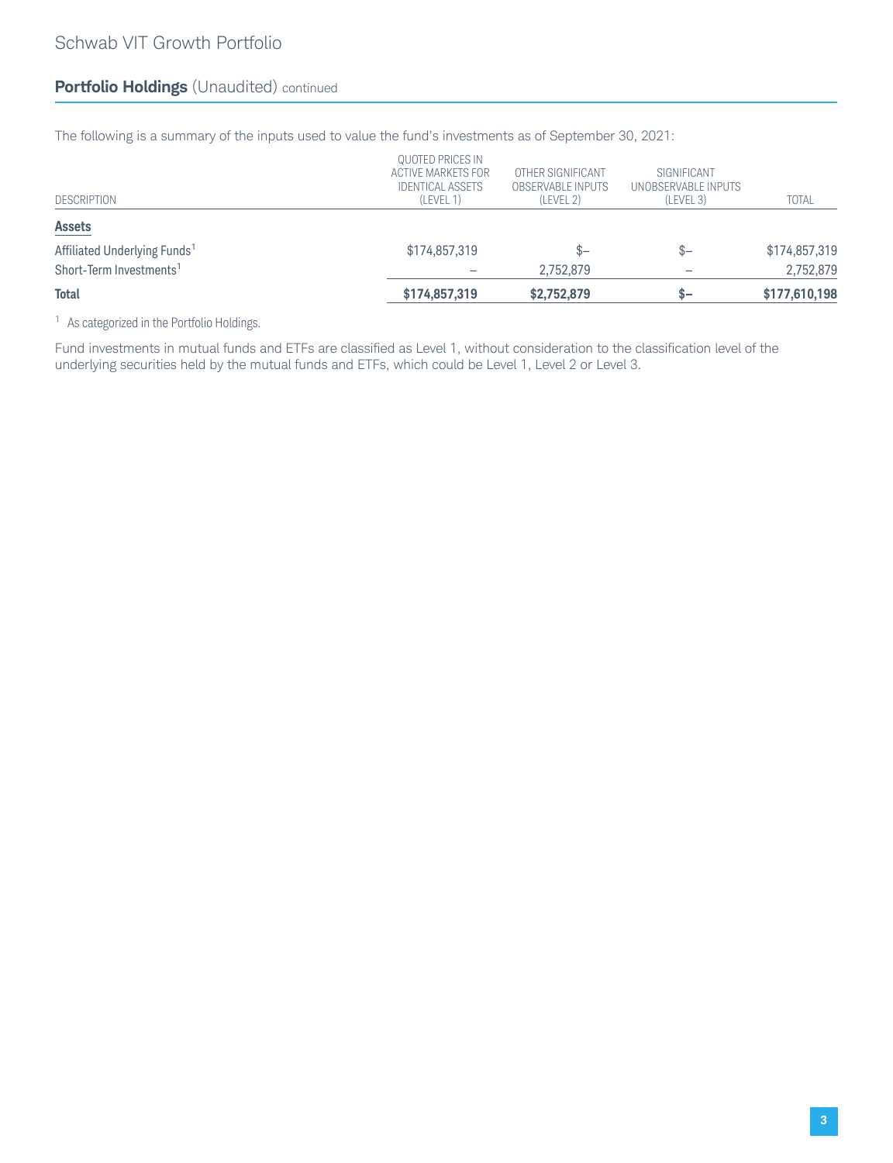## **Portfolio Holdings** (Unaudited) continued

The following is a summary of the inputs used to value the fund's investments as of September 30, 2021:

| <b>DESCRIPTION</b>                       | QUOTED PRICES IN<br>ACTIVE MARKETS FOR<br><b>IDENTICAL ASSETS</b><br>(LEVEL 1) | OTHER SIGNIFICANT<br>OBSERVABLE INPUTS<br>(LEVEL 2) | SIGNIFICANT<br>UNOBSERVABLE INPUTS<br>(LEVEL 3) | <b>TOTAL</b>  |
|------------------------------------------|--------------------------------------------------------------------------------|-----------------------------------------------------|-------------------------------------------------|---------------|
| <b>Assets</b>                            |                                                                                |                                                     |                                                 |               |
| Affiliated Underlying Funds <sup>1</sup> | \$174,857,319                                                                  | $S-$                                                | $S-$                                            | \$174,857,319 |
| Short-Term Investments <sup>1</sup>      |                                                                                | 2.752.879                                           | -                                               | 2,752,879     |
| <b>Total</b>                             | \$174,857,319                                                                  | \$2,752,879                                         | $S-$                                            | \$177,610,198 |

<sup>1</sup> As categorized in the Portfolio Holdings.

Fund investments in mutual funds and ETFs are classified as Level 1, without consideration to the classification level of the underlying securities held by the mutual funds and ETFs, which could be Level 1, Level 2 or Level 3.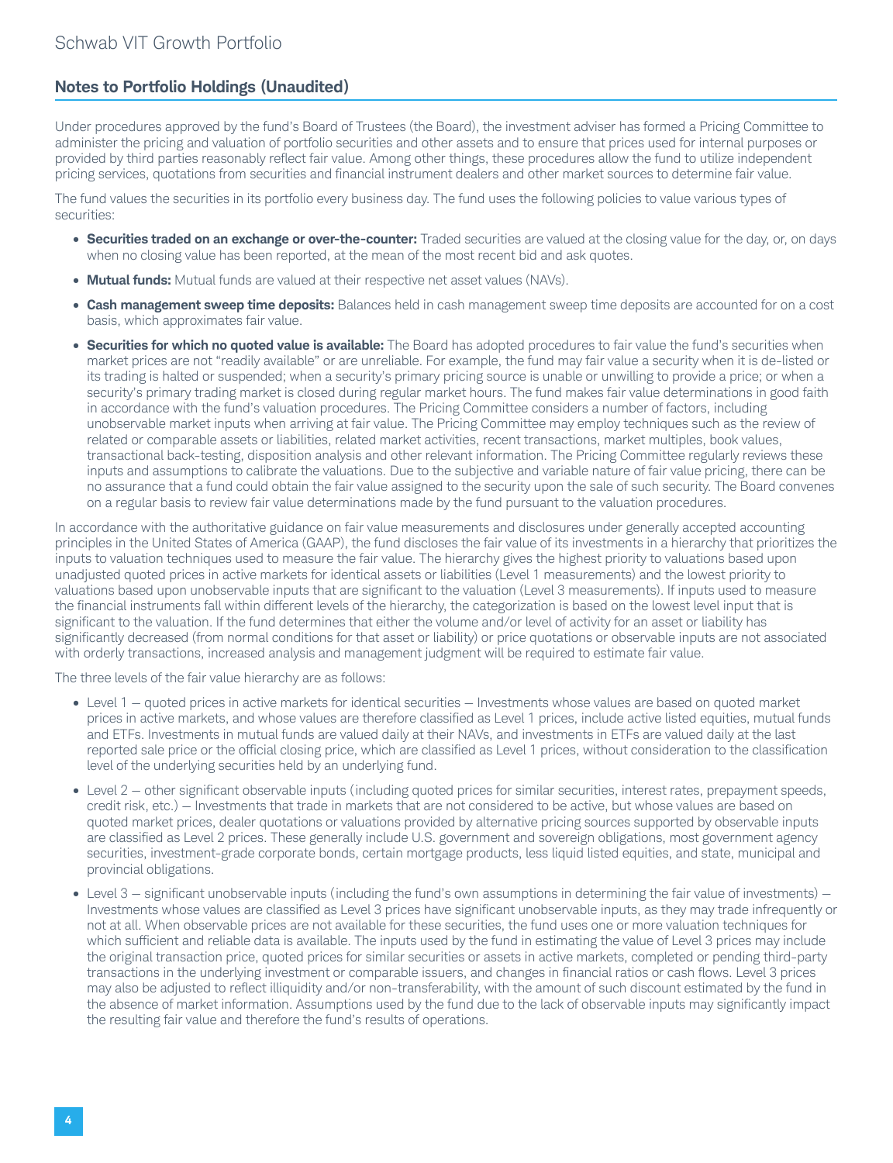#### **Notes to Portfolio Holdings (Unaudited)**

Under procedures approved by the fund's Board of Trustees (the Board), the investment adviser has formed a Pricing Committee to administer the pricing and valuation of portfolio securities and other assets and to ensure that prices used for internal purposes or provided by third parties reasonably reflect fair value. Among other things, these procedures allow the fund to utilize independent pricing services, quotations from securities and financial instrument dealers and other market sources to determine fair value.

The fund values the securities in its portfolio every business day. The fund uses the following policies to value various types of securities:

- **Securities traded on an exchange or over-the-counter:** Traded securities are valued at the closing value for the day, or, on days when no closing value has been reported, at the mean of the most recent bid and ask quotes.
- **Mutual funds:** Mutual funds are valued at their respective net asset values (NAVs).
- **Cash management sweep time deposits:** Balances held in cash management sweep time deposits are accounted for on a cost basis, which approximates fair value.
- **Securities for which no quoted value is available:** The Board has adopted procedures to fair value the fund's securities when market prices are not "readily available" or are unreliable. For example, the fund may fair value a security when it is de-listed or its trading is halted or suspended; when a security's primary pricing source is unable or unwilling to provide a price; or when a security's primary trading market is closed during regular market hours. The fund makes fair value determinations in good faith in accordance with the fund's valuation procedures. The Pricing Committee considers a number of factors, including unobservable market inputs when arriving at fair value. The Pricing Committee may employ techniques such as the review of related or comparable assets or liabilities, related market activities, recent transactions, market multiples, book values, transactional back-testing, disposition analysis and other relevant information. The Pricing Committee regularly reviews these inputs and assumptions to calibrate the valuations. Due to the subjective and variable nature of fair value pricing, there can be no assurance that a fund could obtain the fair value assigned to the security upon the sale of such security. The Board convenes on a regular basis to review fair value determinations made by the fund pursuant to the valuation procedures.

In accordance with the authoritative guidance on fair value measurements and disclosures under generally accepted accounting principles in the United States of America (GAAP), the fund discloses the fair value of its investments in a hierarchy that prioritizes the inputs to valuation techniques used to measure the fair value. The hierarchy gives the highest priority to valuations based upon unadjusted quoted prices in active markets for identical assets or liabilities (Level 1 measurements) and the lowest priority to valuations based upon unobservable inputs that are significant to the valuation (Level 3 measurements). If inputs used to measure the financial instruments fall within different levels of the hierarchy, the categorization is based on the lowest level input that is significant to the valuation. If the fund determines that either the volume and/or level of activity for an asset or liability has significantly decreased (from normal conditions for that asset or liability) or price quotations or observable inputs are not associated with orderly transactions, increased analysis and management judgment will be required to estimate fair value.

The three levels of the fair value hierarchy are as follows:

- Level 1 quoted prices in active markets for identical securities Investments whose values are based on quoted market prices in active markets, and whose values are therefore classified as Level 1 prices, include active listed equities, mutual funds and ETFs. Investments in mutual funds are valued daily at their NAVs, and investments in ETFs are valued daily at the last reported sale price or the official closing price, which are classified as Level 1 prices, without consideration to the classification level of the underlying securities held by an underlying fund.
- Level 2 other significant observable inputs (including quoted prices for similar securities, interest rates, prepayment speeds, credit risk, etc.) — Investments that trade in markets that are not considered to be active, but whose values are based on quoted market prices, dealer quotations or valuations provided by alternative pricing sources supported by observable inputs are classified as Level 2 prices. These generally include U.S. government and sovereign obligations, most government agency securities, investment-grade corporate bonds, certain mortgage products, less liquid listed equities, and state, municipal and provincial obligations.
- Level 3 significant unobservable inputs (including the fund's own assumptions in determining the fair value of investments) Investments whose values are classified as Level 3 prices have significant unobservable inputs, as they may trade infrequently or not at all. When observable prices are not available for these securities, the fund uses one or more valuation techniques for which sufficient and reliable data is available. The inputs used by the fund in estimating the value of Level 3 prices may include the original transaction price, quoted prices for similar securities or assets in active markets, completed or pending third-party transactions in the underlying investment or comparable issuers, and changes in financial ratios or cash flows. Level 3 prices may also be adjusted to reflect illiquidity and/or non-transferability, with the amount of such discount estimated by the fund in the absence of market information. Assumptions used by the fund due to the lack of observable inputs may significantly impact the resulting fair value and therefore the fund's results of operations.